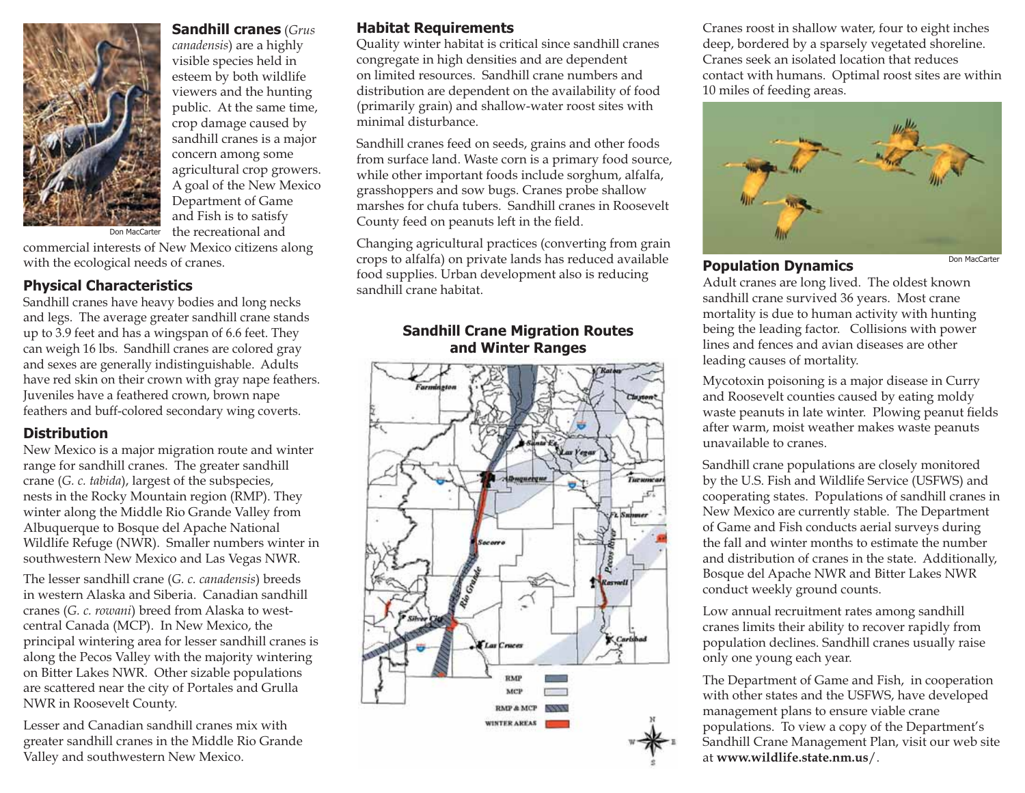

## **Sandhill cranes** (*Grus*

*canadensis*) are a hi ghl y visible s pecies held in esteem by bot h wildlife viewers and the hunting public. At the same time, crop damage caused by sandhill cranes is a major concern among so me agricultural crop growers. A goal of the New Mexico De partment of Game and Fish is to satisfy the recreational and

commercial interests of New Mexico citizens along wit h t he ecological nee ds of cranes.

#### **Physical C haracteristics**

Don MacCarter

Sandhill cranes have heavy bodies and lon g necks an d legs. T he average greater sandhill crane stan ds up to 3.9 feet an d has a win gspan of 6.6 feet. T hey can wei gh 16 lbs. Sandhill cranes are colored gra y an d sexes are generally in distinguis hable. A d ults have re d s kin on t heir crown wit h gra y nape feat hers. Juveniles have a feathered crown, brown nape feat hers an d b uff-colore d secon dary wing coverts.

#### **Distribution**

New Mexico is a major migration route and winter range for sandhill cranes. The greater sandhill crane (*G. c. tabida*), largest of t he su bspecies, nests in the Rock y Mountain re gion (RMP). The y winter along the Middle Rio Grande Valley from Albuquerque to Bosque del Apac he National Wildlife Refu ge (NWR). Smaller numbers winter in southwestern New Mexico and Las Vegas NWR.

The lesser sandhill crane (*G. c. canadensis*) breeds in western Alaska and Siberia. Canadian sandhillcranes (*G. c. rowani*) bree d from Alas ka to westcentral Canada (MCP). In New Mexico, the principal wintering area for lesser sandhill cranes is along t he Pecos Valley wit h t he majority wintering on Bitter Lakes NWR. Other sizable p o pulations are scattere d near t he city of Portales an d Grulla NWR in Roosevelt Count y.

Lesser an d Cana dian sandhill cranes mi x wit h greater sandhill cranes in the Middle Rio Grande Valley and southwestern New Mexico.

#### **Ha bitat Re quirement s**

Qualit y winter habitat is critical since sandhill cranes con gre gate in hi gh densities and are dependent on limite d resources. Sandhill crane num bers an d distribution are dependent on the availability of food (primaril y grain) and shallow-water roost sites with minimal disturbance.

Sandhill cranes feed on seeds, grains and other foods from surface lan d. Waste corn is a primary foo d source, while other important foods include sor ghum, alfalfa, grasshoppers and sow bugs. Cranes probe shallow marshes for chufa tubers. Sa ndhill cranes in Roose velt County feed on peanuts left in the field.

Chan gin g a gricultural practices (convertin g from grain cro ps to alfalfa) on private lands has reduced available foo d supplies. Ur ban development also is re ducing sandhill crane habitat.

#### **Sandhill Crane Mi gration Route s and Winter Rang es**



Cranes roost in s hallow water, four to eight inc hes deep, bordered b y a sparsel y ve getated shoreline. Cranes seek an isolated location t hat reducescontact with humans. Optimal roost sites are within 10 miles of feedin g areas.



#### **Pop ulation Dynamic s**

Don MacCarte

A d ult cranes are lon g live d. T he oldest known sandhill crane survived 36 years. Most crane mortality is due to human activity wit h hunting being t he leading factor. Collisions wit h power lines and fences and avian diseases are other lea ding causes of mortality.

Mycotoxin poisoning is a major disease in Curry an d Roosevelt counties cause d by eating mold y waste peanuts in late winter. Plowing peanut fields after warm, moist weather makes waste peanuts unavailable to cranes.

Sandhill crane populations are closely monitore d by t he U.S. Fis h an d Wildlife Service (USFWS) an d cooperatin g states. Populations of sandhill cranes in New Mexico are currently stable. T he Department of Game an d Fis h con ducts aerial surve ys durin g the fall and winter months to estimate the number and distribution of cranes in the state. Additionally, Bosque del Apac he NWR an d Bitter La kes NWR conduct weekl y ground counts.

Low annual recruitment rates amon g sandhill cranes limits their ability to recover rapidly from population declines. Sandhill cranes usually raise onl y one youn g each year.

T he Department of Game an d Fis h, in cooperation with other states and the USFWS, have develo ped management plans to ensure viable crane populations. To view a cop y of t he Department's Sandhill Crane Management Plan, visit our web site at **www.wildlife.state.nm.us**/.